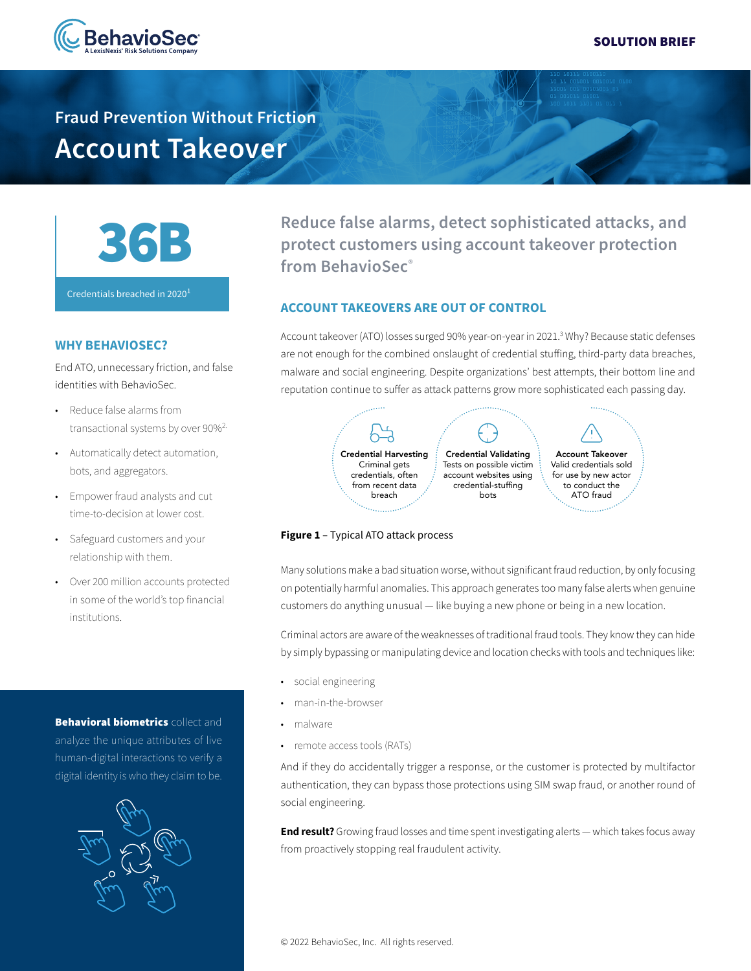

**Fraud Prevention Without Friction Account Takeover**



Credentials breached in  $2020<sup>1</sup>$ 

## **WHY BEHAVIOSEC?**

End ATO, unnecessary friction, and false identities with BehavioSec.

- Reduce false alarms from transactional systems by over 90%<sup>2.</sup>
- Automatically detect automation, bots, and aggregators.
- Empower fraud analysts and cut time-to-decision at lower cost.
- Safeguard customers and your relationship with them.
- Over 200 million accounts protected in some of the world's top financial institutions.

**Behavioral biometrics** collect and analyze the unique attributes of live human-digital interactions to verify a digital identity is who they claim to be.



**Reduce false alarms, detect sophisticated attacks, and protect customers using account takeover protection from BehavioSec®**

### **ACCOUNT TAKEOVERS ARE OUT OF CONTROL**

Account takeover (ATO) losses surged 90% year-on-year in 2021.3 Why? Because static defenses are not enough for the combined onslaught of credential stuffing, third-party data breaches, malware and social engineering. Despite organizations' best attempts, their bottom line and reputation continue to suffer as attack patterns grow more sophisticated each passing day.



### **Figure 1** – Typical ATO attack process

Many solutions make a bad situation worse, without significant fraud reduction, by only focusing on potentially harmful anomalies. This approach generates too many false alerts when genuine customers do anything unusual — like buying a new phone or being in a new location.

Criminal actors are aware of the weaknesses of traditional fraud tools. They know they can hide by simply bypassing or manipulating device and location checks with tools and techniques like:

- social engineering
- man-in-the-browser
- malware
- remote access tools (RATs)

And if they do accidentally trigger a response, or the customer is protected by multifactor authentication, they can bypass those protections using SIM swap fraud, or another round of social engineering.

**End result?** Growing fraud losses and time spent investigating alerts — which takes focus away from proactively stopping real fraudulent activity.